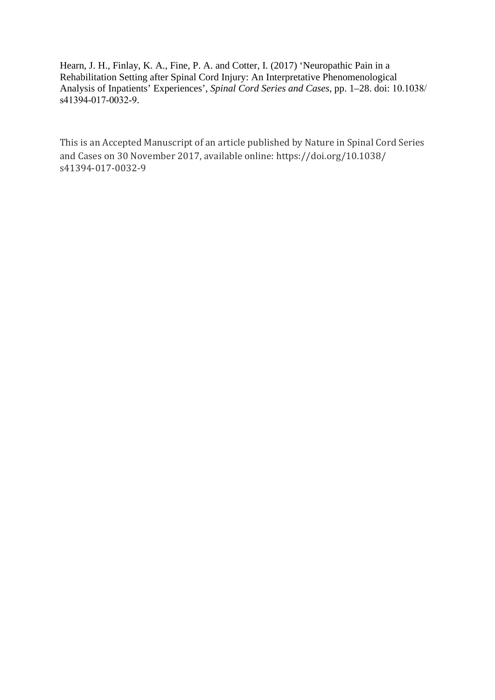Hearn, J. H., Finlay, K. A., Fine, P. A. and Cotter, I. (2017) 'Neuropathic Pain in a Rehabilitation Setting after Spinal Cord Injury: An Interpretative Phenomenological Analysis of Inpatients' Experiences', *Spinal Cord Series and Cases*, pp. 1–28. doi: 10.1038/ s41394-017-0032-9.

This is an Accepted Manuscript of an article published by Nature in Spinal Cord Series and Cases on 30 November 2017, available online: https://doi.org/10.1038/ s41394-017-0032-9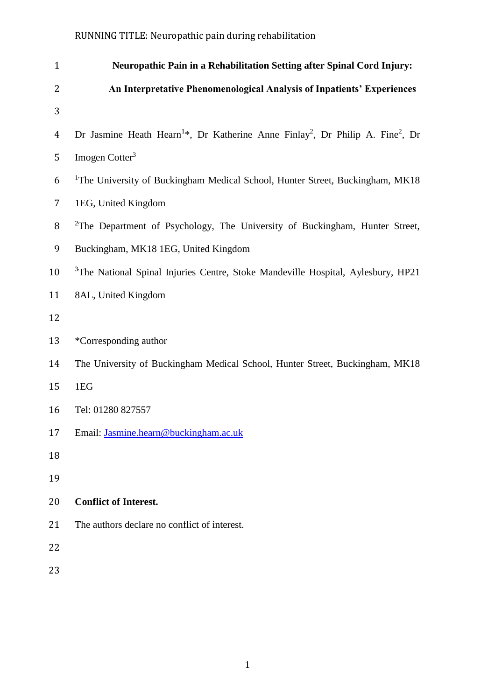| $\mathbf{1}$   | Neuropathic Pain in a Rehabilitation Setting after Spinal Cord Injury:                                             |
|----------------|--------------------------------------------------------------------------------------------------------------------|
| 2              | An Interpretative Phenomenological Analysis of Inpatients' Experiences                                             |
| 3              |                                                                                                                    |
| $\overline{4}$ | Dr Jasmine Heath Hearn <sup>1*</sup> , Dr Katherine Anne Finlay <sup>2</sup> , Dr Philip A. Fine <sup>2</sup> , Dr |
| 5              | Imogen Cotter <sup>3</sup>                                                                                         |
| 6              | <sup>1</sup> The University of Buckingham Medical School, Hunter Street, Buckingham, MK18                          |
| $\overline{7}$ | 1EG, United Kingdom                                                                                                |
| 8              | <sup>2</sup> The Department of Psychology, The University of Buckingham, Hunter Street,                            |
| 9              | Buckingham, MK18 1EG, United Kingdom                                                                               |
| 10             | <sup>3</sup> The National Spinal Injuries Centre, Stoke Mandeville Hospital, Aylesbury, HP21                       |
| 11             | 8AL, United Kingdom                                                                                                |
| 12             |                                                                                                                    |
| 13             | *Corresponding author                                                                                              |
| 14             | The University of Buckingham Medical School, Hunter Street, Buckingham, MK18                                       |
| 15             | 1EG                                                                                                                |
| 16             | Tel: 01280 827557                                                                                                  |
| 17             | Email: Jasmine.hearn@buckingham.ac.uk                                                                              |
| 18             |                                                                                                                    |
| 19             |                                                                                                                    |
| 20             | <b>Conflict of Interest.</b>                                                                                       |
| 21             | The authors declare no conflict of interest.                                                                       |
| 22             |                                                                                                                    |
| 23             |                                                                                                                    |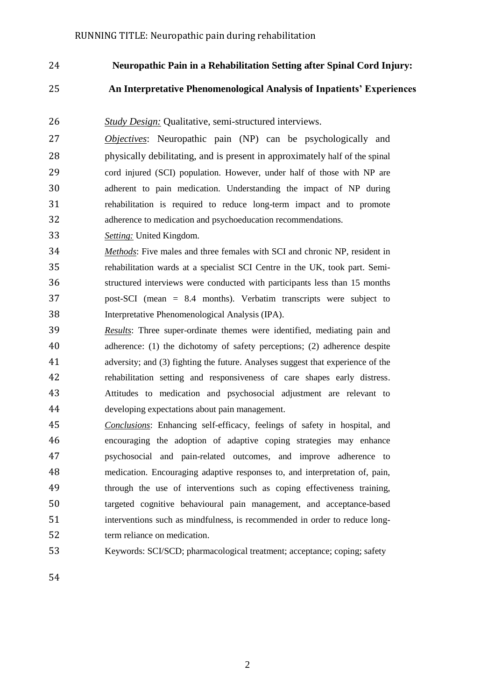**Neuropathic Pain in a Rehabilitation Setting after Spinal Cord Injury:**

# **An Interpretative Phenomenological Analysis of Inpatients' Experiences**

- *Study Design:* Qualitative, semi-structured interviews.
- *Objectives*: Neuropathic pain (NP) can be psychologically and physically debilitating, and is present in approximately half of the spinal cord injured (SCI) population. However, under half of those with NP are adherent to pain medication. Understanding the impact of NP during rehabilitation is required to reduce long-term impact and to promote adherence to medication and psychoeducation recommendations.
- *Setting:* United Kingdom.
- *Methods*: Five males and three females with SCI and chronic NP, resident in rehabilitation wards at a specialist SCI Centre in the UK, took part. Semi- structured interviews were conducted with participants less than 15 months post-SCI (mean = 8.4 months). Verbatim transcripts were subject to Interpretative Phenomenological Analysis (IPA).
- *Results*: Three super-ordinate themes were identified, mediating pain and adherence: (1) the dichotomy of safety perceptions; (2) adherence despite adversity; and (3) fighting the future. Analyses suggest that experience of the rehabilitation setting and responsiveness of care shapes early distress. Attitudes to medication and psychosocial adjustment are relevant to developing expectations about pain management.
- *Conclusions*: Enhancing self-efficacy, feelings of safety in hospital, and encouraging the adoption of adaptive coping strategies may enhance psychosocial and pain-related outcomes, and improve adherence to medication. Encouraging adaptive responses to, and interpretation of, pain, through the use of interventions such as coping effectiveness training, targeted cognitive behavioural pain management, and acceptance-based interventions such as mindfulness, is recommended in order to reduce long-term reliance on medication.
- Keywords: SCI/SCD; pharmacological treatment; acceptance; coping; safety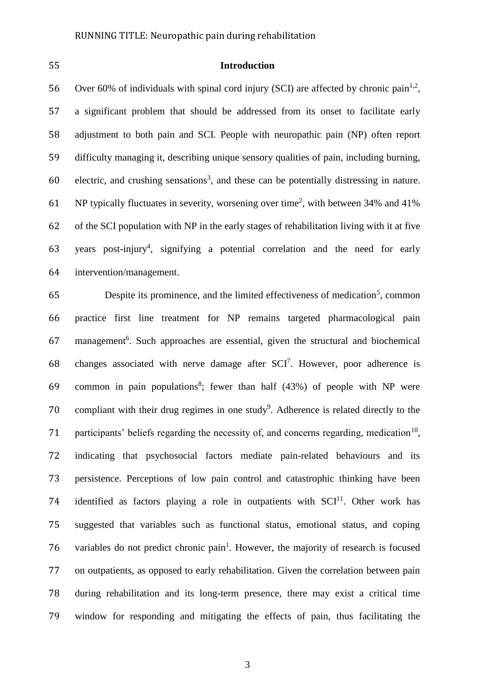# 55 **Introduction**

56 Over 60% of individuals with spinal cord injury (SCI) are affected by chronic pain<sup>1,2</sup>, a significant problem that should be addressed from its onset to facilitate early adjustment to both pain and SCI. People with neuropathic pain (NP) often report difficulty managing it, describing unique sensory qualities of pain, including burning, electric, and crushing sensations<sup>3</sup>, and these can be potentially distressing in nature. 61 NP typically fluctuates in severity, worsening over time<sup>2</sup>, with between 34% and 41% of the SCI population with NP in the early stages of rehabilitation living with it at five 63 years post-injury<sup>4</sup>, signifying a potential correlation and the need for early intervention/management.

65 Despite its prominence, and the limited effectiveness of medication<sup>5</sup>, common 66 practice first line treatment for NP remains targeted pharmacological pain 67 management<sup>6</sup>. Such approaches are essential, given the structural and biochemical 68 changes associated with nerve damage after  $SCI^7$ . However, poor adherence is 69 common in pain populations<sup>8</sup>; fewer than half  $(43%)$  of people with NP were 70 compliant with their drug regimes in one study<sup>9</sup>. Adherence is related directly to the 71 participants' beliefs regarding the necessity of, and concerns regarding, medication<sup>10</sup>, 72 indicating that psychosocial factors mediate pain-related behaviours and its 73 persistence. Perceptions of low pain control and catastrophic thinking have been 74 identified as factors playing a role in outpatients with  $SCI<sup>11</sup>$ . Other work has 75 suggested that variables such as functional status, emotional status, and coping 76 variables do not predict chronic pain<sup>1</sup>. However, the majority of research is focused 77 on outpatients, as opposed to early rehabilitation. Given the correlation between pain 78 during rehabilitation and its long-term presence, there may exist a critical time 79 window for responding and mitigating the effects of pain, thus facilitating the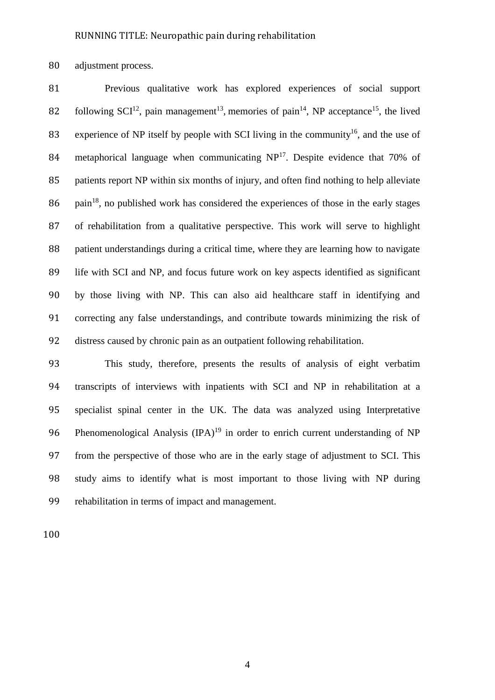adjustment process.

 Previous qualitative work has explored experiences of social support 82 following  $SCI<sup>12</sup>$ , pain management<sup>13</sup>, memories of pain<sup>14</sup>, NP acceptance<sup>15</sup>, the lived 83 experience of NP itself by people with SCI living in the community<sup>16</sup>, and the use of 84 metaphorical language when communicating  $NP<sup>17</sup>$ . Despite evidence that 70% of patients report NP within six months of injury, and often find nothing to help alleviate pain<sup>18</sup>, no published work has considered the experiences of those in the early stages of rehabilitation from a qualitative perspective. This work will serve to highlight patient understandings during a critical time, where they are learning how to navigate life with SCI and NP, and focus future work on key aspects identified as significant by those living with NP. This can also aid healthcare staff in identifying and correcting any false understandings, and contribute towards minimizing the risk of distress caused by chronic pain as an outpatient following rehabilitation.

 This study, therefore, presents the results of analysis of eight verbatim transcripts of interviews with inpatients with SCI and NP in rehabilitation at a specialist spinal center in the UK. The data was analyzed using Interpretative 96 Phenomenological Analysis  $(IPA)^{19}$  in order to enrich current understanding of NP from the perspective of those who are in the early stage of adjustment to SCI. This study aims to identify what is most important to those living with NP during rehabilitation in terms of impact and management.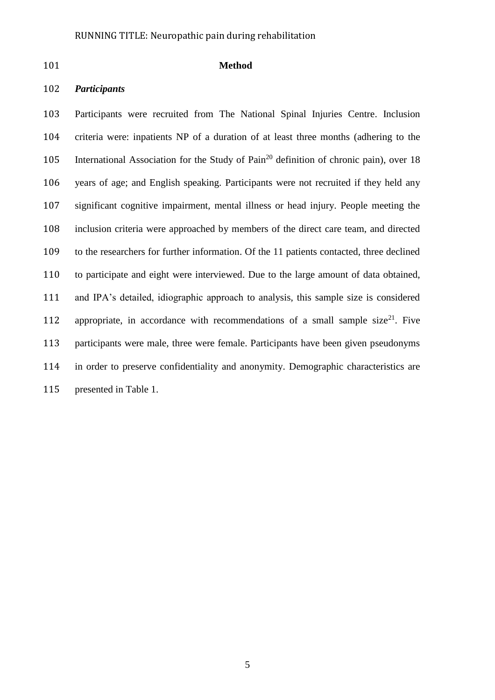# **Method**

# *Participants*

 Participants were recruited from The National Spinal Injuries Centre. Inclusion criteria were: inpatients NP of a duration of at least three months (adhering to the 105 International Association for the Study of Pain<sup>20</sup> definition of chronic pain), over 18 years of age; and English speaking. Participants were not recruited if they held any significant cognitive impairment, mental illness or head injury. People meeting the inclusion criteria were approached by members of the direct care team, and directed to the researchers for further information. Of the 11 patients contacted, three declined to participate and eight were interviewed. Due to the large amount of data obtained, and IPA's detailed, idiographic approach to analysis, this sample size is considered 112 appropriate, in accordance with recommendations of a small sample size<sup>21</sup>. Five participants were male, three were female. Participants have been given pseudonyms in order to preserve confidentiality and anonymity. Demographic characteristics are presented in Table 1.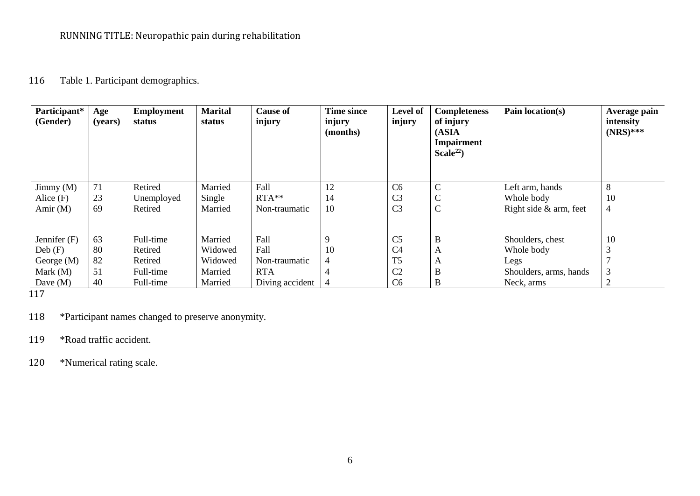# 116 Table 1. Participant demographics.

| Participant*<br>(Gender) | Age<br>(years) | <b>Employment</b><br>status | <b>Marital</b><br>status | <b>Cause of</b><br>injury | <b>Time since</b><br>injury<br>(months) | Level of<br>injury | <b>Completeness</b><br>of injury<br>(ASIA<br><b>Impairment</b><br>Scale <sup>22</sup> ) | Pain location(s)       | Average pain<br>intensity<br>$(NRS)$ *** |
|--------------------------|----------------|-----------------------------|--------------------------|---------------------------|-----------------------------------------|--------------------|-----------------------------------------------------------------------------------------|------------------------|------------------------------------------|
| Jimmy $(M)$              | 71             | Retired                     | Married                  | Fall                      | 12                                      | C <sub>6</sub>     | $\mathbf C$                                                                             | Left arm, hands        | 8                                        |
| Alice $(F)$              | 23             | Unemployed                  | Single                   | $RTA**$                   | 14                                      | C <sub>3</sub>     | $\mathbf C$                                                                             | Whole body             | 10                                       |
| Amir $(M)$               | 69             | Retired                     | Married                  | Non-traumatic             | 10                                      | C <sub>3</sub>     | $\mathbf C$                                                                             | Right side & arm, feet | 4                                        |
| Jennifer $(F)$           | 63             | Full-time                   | Married                  | Fall                      | 9                                       | C <sub>5</sub>     | B                                                                                       | Shoulders, chest       | 10                                       |
| Deb(F)                   | 80             | Retired                     | Widowed                  | Fall                      | 10                                      | C <sub>4</sub>     | A                                                                                       | Whole body             | 3                                        |
| George $(M)$             | 82             | Retired                     | Widowed                  | Non-traumatic             | 4                                       | T <sub>5</sub>     | A                                                                                       | Legs                   |                                          |
| Mark $(M)$               | 51             | Full-time                   | Married                  | <b>RTA</b>                |                                         | C <sub>2</sub>     | B                                                                                       | Shoulders, arms, hands | 3                                        |
| Dave $(M)$               | 40             | Full-time                   | Married                  | Diving accident           |                                         | C <sub>6</sub>     | B                                                                                       | Neck, arms             |                                          |

117

118 \*Participant names changed to preserve anonymity.

119 \*Road traffic accident.

120 \*Numerical rating scale.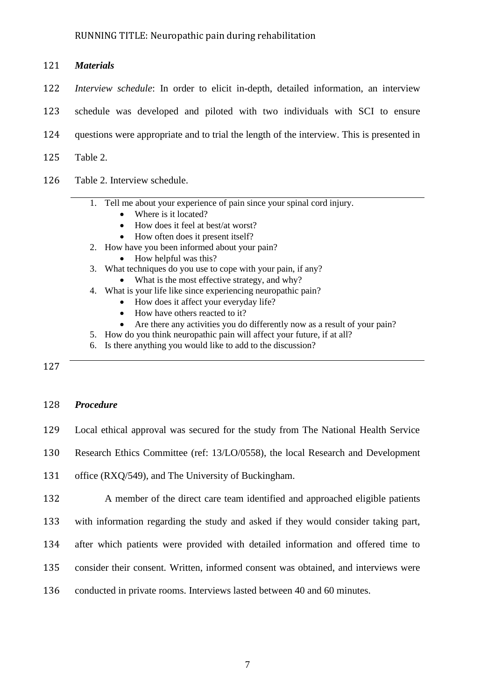|     | 121 <b>Materials</b>                                                                            |
|-----|-------------------------------------------------------------------------------------------------|
|     | 122 <i>Interview schedule</i> : In order to elicit in-depth, detailed information, an interview |
| 123 | schedule was developed and piloted with two individuals with SCI to ensure                      |
| 124 | questions were appropriate and to trial the length of the interview. This is presented in       |
| 125 | Table 2.                                                                                        |

126 Table 2. Interview schedule.

# 1. Tell me about your experience of pain since your spinal cord injury.

- Where is it located?
- How does it feel at best/at worst?
- How often does it present itself?
- 2. How have you been informed about your pain?
	- How helpful was this?
- 3. What techniques do you use to cope with your pain, if any?
	- What is the most effective strategy, and why?
- 4. What is your life like since experiencing neuropathic pain?
	- How does it affect your everyday life?
	- How have others reacted to it?
	- Are there any activities you do differently now as a result of your pain?
- 5. How do you think neuropathic pain will affect your future, if at all?
- 6. Is there anything you would like to add to the discussion?

127

# 128 *Procedure*

- 129 Local ethical approval was secured for the study from The National Health Service
- 130 Research Ethics Committee (ref: 13/LO/0558), the local Research and Development

131 office (RXQ/549), and The University of Buckingham.

132 A member of the direct care team identified and approached eligible patients

- 133 with information regarding the study and asked if they would consider taking part,
- 134 after which patients were provided with detailed information and offered time to
- 135 consider their consent. Written, informed consent was obtained, and interviews were
- 136 conducted in private rooms. Interviews lasted between 40 and 60 minutes.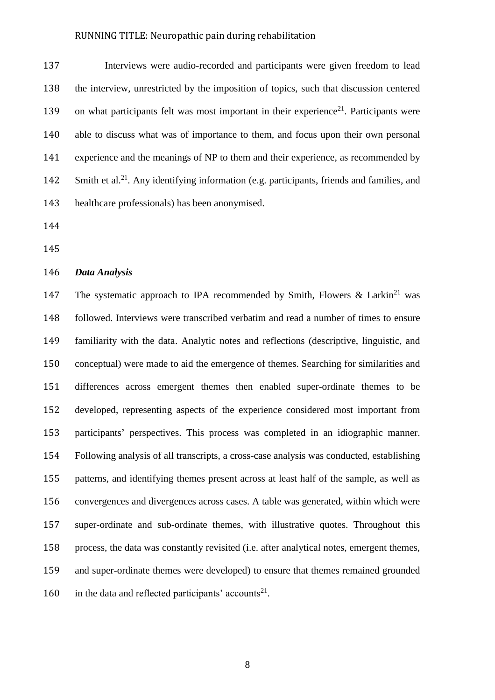Interviews were audio-recorded and participants were given freedom to lead the interview, unrestricted by the imposition of topics, such that discussion centered 139 on what participants felt was most important in their experience<sup>21</sup>. Participants were able to discuss what was of importance to them, and focus upon their own personal experience and the meanings of NP to them and their experience, as recommended by 142 Smith et al.<sup>21</sup>. Any identifying information (e.g. participants, friends and families, and healthcare professionals) has been anonymised.

#### *Data Analysis*

147 The systematic approach to IPA recommended by Smith, Flowers & Larkin<sup>21</sup> was followed. Interviews were transcribed verbatim and read a number of times to ensure familiarity with the data. Analytic notes and reflections (descriptive, linguistic, and conceptual) were made to aid the emergence of themes. Searching for similarities and differences across emergent themes then enabled super-ordinate themes to be developed, representing aspects of the experience considered most important from participants' perspectives. This process was completed in an idiographic manner. Following analysis of all transcripts, a cross-case analysis was conducted, establishing patterns, and identifying themes present across at least half of the sample, as well as convergences and divergences across cases. A table was generated, within which were super-ordinate and sub-ordinate themes, with illustrative quotes. Throughout this process, the data was constantly revisited (i.e. after analytical notes, emergent themes, and super-ordinate themes were developed) to ensure that themes remained grounded 160 in the data and reflected participants' accounts<sup>21</sup>.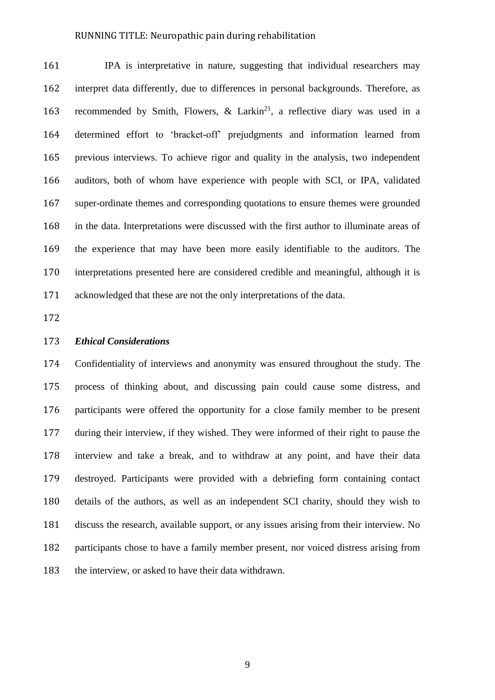IPA is interpretative in nature, suggesting that individual researchers may interpret data differently, due to differences in personal backgrounds. Therefore, as 163 recommended by Smith, Flowers,  $\&$  Larkin<sup>21</sup>, a reflective diary was used in a determined effort to 'bracket-off' prejudgments and information learned from previous interviews. To achieve rigor and quality in the analysis, two independent auditors, both of whom have experience with people with SCI, or IPA, validated super-ordinate themes and corresponding quotations to ensure themes were grounded in the data. Interpretations were discussed with the first author to illuminate areas of the experience that may have been more easily identifiable to the auditors. The interpretations presented here are considered credible and meaningful, although it is acknowledged that these are not the only interpretations of the data.

# *Ethical Considerations*

 Confidentiality of interviews and anonymity was ensured throughout the study. The process of thinking about, and discussing pain could cause some distress, and participants were offered the opportunity for a close family member to be present during their interview, if they wished. They were informed of their right to pause the interview and take a break, and to withdraw at any point, and have their data destroyed. Participants were provided with a debriefing form containing contact details of the authors, as well as an independent SCI charity, should they wish to discuss the research, available support, or any issues arising from their interview. No participants chose to have a family member present, nor voiced distress arising from the interview, or asked to have their data withdrawn.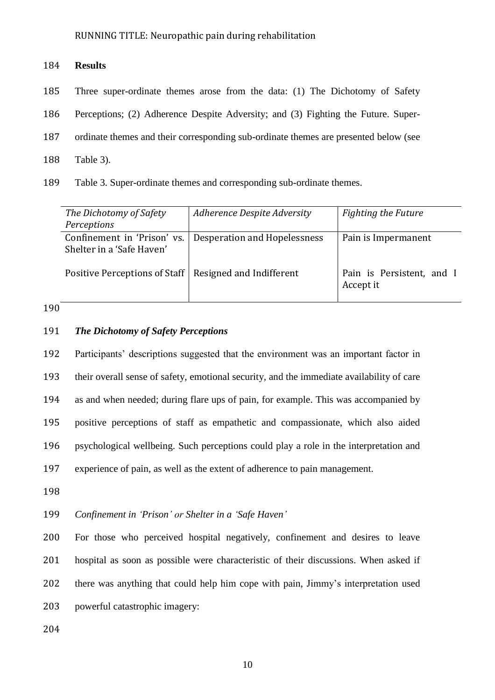# **Results**

- Three super-ordinate themes arose from the data: (1) The Dichotomy of Safety
- Perceptions; (2) Adherence Despite Adversity; and (3) Fighting the Future. Super-
- ordinate themes and their corresponding sub-ordinate themes are presented below (see
- Table 3).
- Table 3. Super-ordinate themes and corresponding sub-ordinate themes.

| The Dichotomy of Safety<br>Perceptions                   | Adherence Despite Adversity  | Fighting the Future                    |
|----------------------------------------------------------|------------------------------|----------------------------------------|
| Confinement in 'Prison' vs.<br>Shelter in a 'Safe Haven' | Desperation and Hopelessness | Pain is Impermanent                    |
| Positive Perceptions of Staff                            | Resigned and Indifferent     | Pain is Persistent, and I<br>Accept it |

# 

# *The Dichotomy of Safety Perceptions*

 Participants' descriptions suggested that the environment was an important factor in their overall sense of safety, emotional security, and the immediate availability of care as and when needed; during flare ups of pain, for example. This was accompanied by positive perceptions of staff as empathetic and compassionate, which also aided psychological wellbeing. Such perceptions could play a role in the interpretation and experience of pain, as well as the extent of adherence to pain management.

*Confinement in 'Prison' or Shelter in a 'Safe Haven'*

 For those who perceived hospital negatively, confinement and desires to leave hospital as soon as possible were characteristic of their discussions. When asked if there was anything that could help him cope with pain, Jimmy's interpretation used powerful catastrophic imagery: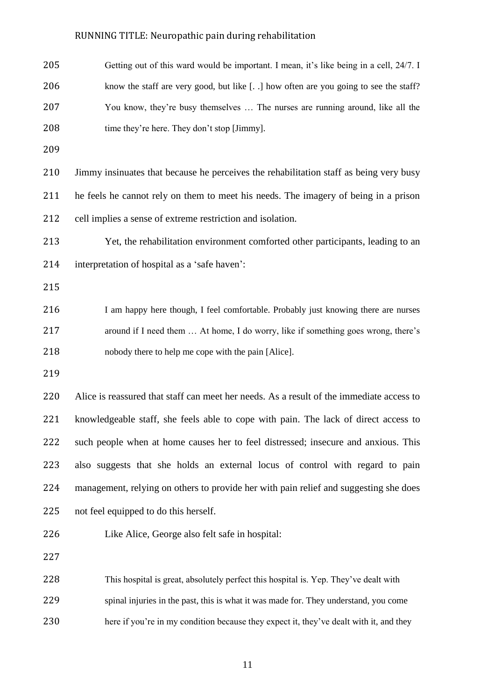| 205 | Getting out of this ward would be important. I mean, it's like being in a cell, 24/7. I  |
|-----|------------------------------------------------------------------------------------------|
| 206 | know the staff are very good, but like [] how often are you going to see the staff?      |
| 207 | You know, they're busy themselves  The nurses are running around, like all the           |
| 208 | time they're here. They don't stop [Jimmy].                                              |
| 209 |                                                                                          |
| 210 | Jimmy insinuates that because he perceives the rehabilitation staff as being very busy   |
| 211 | he feels he cannot rely on them to meet his needs. The imagery of being in a prison      |
| 212 | cell implies a sense of extreme restriction and isolation.                               |
| 213 | Yet, the rehabilitation environment comforted other participants, leading to an          |
| 214 | interpretation of hospital as a 'safe haven':                                            |
| 215 |                                                                                          |
| 216 | I am happy here though, I feel comfortable. Probably just knowing there are nurses       |
| 217 | around if I need them  At home, I do worry, like if something goes wrong, there's        |
| 218 | nobody there to help me cope with the pain [Alice].                                      |
| 219 |                                                                                          |
| 220 | Alice is reassured that staff can meet her needs. As a result of the immediate access to |
| 221 | knowledgeable staff, she feels able to cope with pain. The lack of direct access to      |
| 222 | such people when at home causes her to feel distressed; insecure and anxious. This       |
| 223 | also suggests that she holds an external locus of control with regard to pain            |
| 224 | management, relying on others to provide her with pain relief and suggesting she does    |
| 225 | not feel equipped to do this herself.                                                    |
| 226 | Like Alice, George also felt safe in hospital:                                           |
| 227 |                                                                                          |
| 228 | This hospital is great, absolutely perfect this hospital is. Yep. They've dealt with     |
| 229 | spinal injuries in the past, this is what it was made for. They understand, you come     |
| 230 | here if you're in my condition because they expect it, they've dealt with it, and they   |
|     |                                                                                          |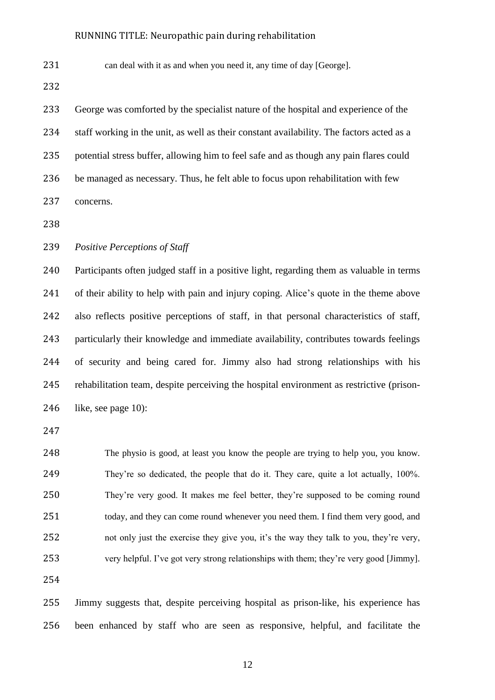231 can deal with it as and when you need it, any time of day [George].

| 233 | George was comforted by the specialist nature of the hospital and experience of the       |
|-----|-------------------------------------------------------------------------------------------|
| 234 | staff working in the unit, as well as their constant availability. The factors acted as a |
| 235 | potential stress buffer, allowing him to feel safe and as though any pain flares could    |
| 236 | be managed as necessary. Thus, he felt able to focus upon rehabilitation with few         |
| 237 | concerns.                                                                                 |

*Positive Perceptions of Staff*

 Participants often judged staff in a positive light, regarding them as valuable in terms of their ability to help with pain and injury coping. Alice's quote in the theme above also reflects positive perceptions of staff, in that personal characteristics of staff, particularly their knowledge and immediate availability, contributes towards feelings of security and being cared for. Jimmy also had strong relationships with his rehabilitation team, despite perceiving the hospital environment as restrictive (prison-like, see page 10):

 The physio is good, at least you know the people are trying to help you, you know. They're so dedicated, the people that do it. They care, quite a lot actually, 100%. They're very good. It makes me feel better, they're supposed to be coming round 251 today, and they can come round whenever you need them. I find them very good, and not only just the exercise they give you, it's the way they talk to you, they're very, very helpful. I've got very strong relationships with them; they're very good [Jimmy].

 Jimmy suggests that, despite perceiving hospital as prison-like, his experience has been enhanced by staff who are seen as responsive, helpful, and facilitate the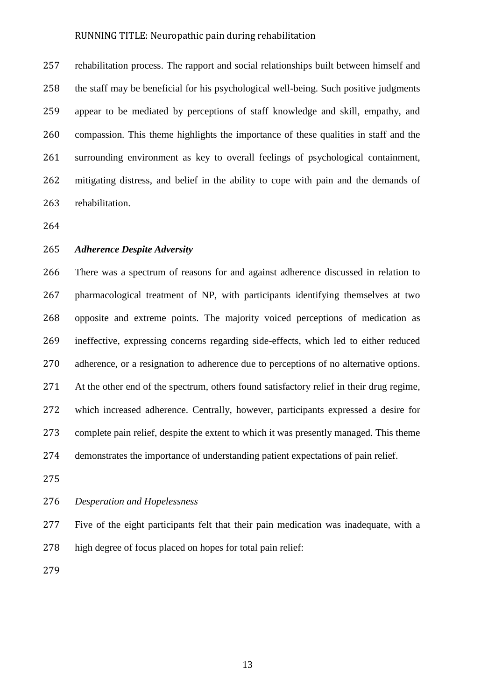rehabilitation process. The rapport and social relationships built between himself and the staff may be beneficial for his psychological well-being. Such positive judgments appear to be mediated by perceptions of staff knowledge and skill, empathy, and compassion. This theme highlights the importance of these qualities in staff and the surrounding environment as key to overall feelings of psychological containment, mitigating distress, and belief in the ability to cope with pain and the demands of rehabilitation.

#### *Adherence Despite Adversity*

 There was a spectrum of reasons for and against adherence discussed in relation to pharmacological treatment of NP, with participants identifying themselves at two opposite and extreme points. The majority voiced perceptions of medication as ineffective, expressing concerns regarding side-effects, which led to either reduced adherence, or a resignation to adherence due to perceptions of no alternative options. At the other end of the spectrum, others found satisfactory relief in their drug regime, which increased adherence. Centrally, however, participants expressed a desire for complete pain relief, despite the extent to which it was presently managed. This theme demonstrates the importance of understanding patient expectations of pain relief.

# *Desperation and Hopelessness*

 Five of the eight participants felt that their pain medication was inadequate, with a high degree of focus placed on hopes for total pain relief: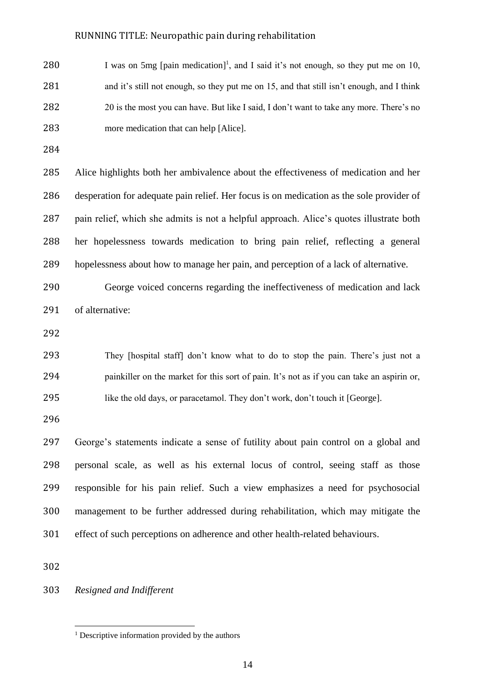280 I was on 5mg [pain medication]<sup>1</sup>, and I said it's not enough, so they put me on 10, 281 and it's still not enough, so they put me on 15, and that still isn't enough, and I think 20 is the most you can have. But like I said, I don't want to take any more. There's no more medication that can help [Alice].

 Alice highlights both her ambivalence about the effectiveness of medication and her desperation for adequate pain relief. Her focus is on medication as the sole provider of pain relief, which she admits is not a helpful approach. Alice's quotes illustrate both her hopelessness towards medication to bring pain relief, reflecting a general hopelessness about how to manage her pain, and perception of a lack of alternative.

 George voiced concerns regarding the ineffectiveness of medication and lack of alternative:

 They [hospital staff] don't know what to do to stop the pain. There's just not a painkiller on the market for this sort of pain. It's not as if you can take an aspirin or, like the old days, or paracetamol. They don't work, don't touch it [George].

 George's statements indicate a sense of futility about pain control on a global and personal scale, as well as his external locus of control, seeing staff as those responsible for his pain relief. Such a view emphasizes a need for psychosocial management to be further addressed during rehabilitation, which may mitigate the effect of such perceptions on adherence and other health-related behaviours.

 $\overline{a}$ 

# *Resigned and Indifferent*

<sup>&</sup>lt;sup>1</sup> Descriptive information provided by the authors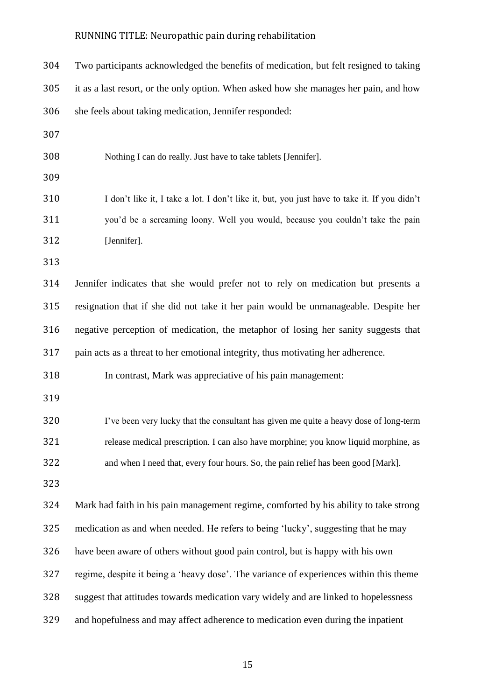| 304 | Two participants acknowledged the benefits of medication, but felt resigned to taking        |
|-----|----------------------------------------------------------------------------------------------|
| 305 | it as a last resort, or the only option. When asked how she manages her pain, and how        |
| 306 | she feels about taking medication, Jennifer responded:                                       |
| 307 |                                                                                              |
| 308 | Nothing I can do really. Just have to take tablets [Jennifer].                               |
| 309 |                                                                                              |
| 310 | I don't like it, I take a lot. I don't like it, but, you just have to take it. If you didn't |
| 311 | you'd be a screaming loony. Well you would, because you couldn't take the pain               |
| 312 | [Jennifer].                                                                                  |
| 313 |                                                                                              |
| 314 | Jennifer indicates that she would prefer not to rely on medication but presents a            |
| 315 | resignation that if she did not take it her pain would be unmanageable. Despite her          |
| 316 | negative perception of medication, the metaphor of losing her sanity suggests that           |
| 317 | pain acts as a threat to her emotional integrity, thus motivating her adherence.             |
| 318 | In contrast, Mark was appreciative of his pain management:                                   |
| 319 |                                                                                              |
| 320 | I've been very lucky that the consultant has given me quite a heavy dose of long-term        |
| 321 | release medical prescription. I can also have morphine; you know liquid morphine, as         |
| 322 | and when I need that, every four hours. So, the pain relief has been good [Mark].            |
| 323 |                                                                                              |
| 324 | Mark had faith in his pain management regime, comforted by his ability to take strong        |
| 325 | medication as and when needed. He refers to being 'lucky', suggesting that he may            |
| 326 | have been aware of others without good pain control, but is happy with his own               |
| 327 | regime, despite it being a 'heavy dose'. The variance of experiences within this theme       |
| 328 | suggest that attitudes towards medication vary widely and are linked to hopelessness         |
| 329 | and hopefulness and may affect adherence to medication even during the inpatient             |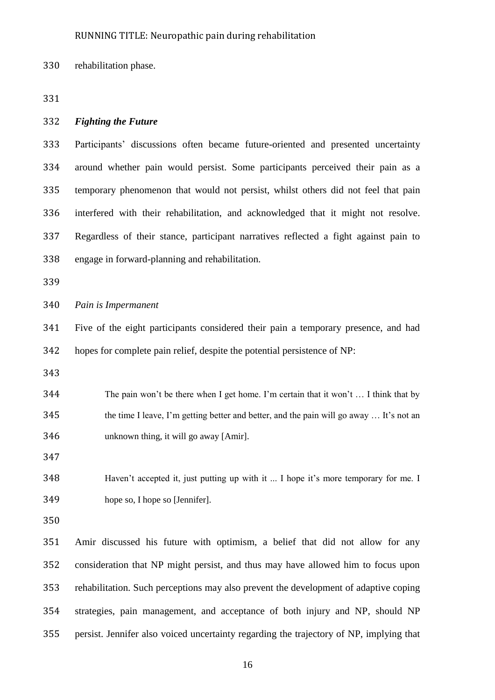rehabilitation phase.

#### *Fighting the Future*

 Participants' discussions often became future-oriented and presented uncertainty around whether pain would persist. Some participants perceived their pain as a temporary phenomenon that would not persist, whilst others did not feel that pain interfered with their rehabilitation, and acknowledged that it might not resolve. Regardless of their stance, participant narratives reflected a fight against pain to engage in forward-planning and rehabilitation.

*Pain is Impermanent*

 Five of the eight participants considered their pain a temporary presence, and had hopes for complete pain relief, despite the potential persistence of NP:

 The pain won't be there when I get home. I'm certain that it won't … I think that by the time I leave, I'm getting better and better, and the pain will go away … It's not an unknown thing, it will go away [Amir].

 Haven't accepted it, just putting up with it ... I hope it's more temporary for me. I hope so, I hope so [Jennifer].

 Amir discussed his future with optimism, a belief that did not allow for any consideration that NP might persist, and thus may have allowed him to focus upon rehabilitation. Such perceptions may also prevent the development of adaptive coping strategies, pain management, and acceptance of both injury and NP, should NP persist. Jennifer also voiced uncertainty regarding the trajectory of NP, implying that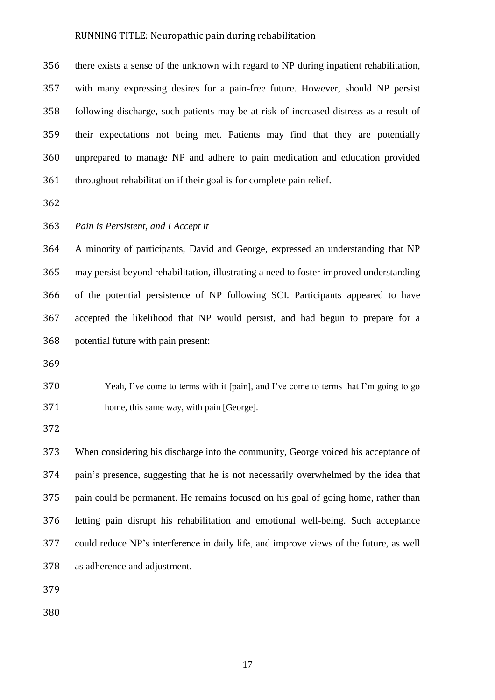there exists a sense of the unknown with regard to NP during inpatient rehabilitation, with many expressing desires for a pain-free future. However, should NP persist following discharge, such patients may be at risk of increased distress as a result of their expectations not being met. Patients may find that they are potentially unprepared to manage NP and adhere to pain medication and education provided throughout rehabilitation if their goal is for complete pain relief.

# *Pain is Persistent, and I Accept it*

 A minority of participants, David and George, expressed an understanding that NP may persist beyond rehabilitation, illustrating a need to foster improved understanding of the potential persistence of NP following SCI. Participants appeared to have accepted the likelihood that NP would persist, and had begun to prepare for a potential future with pain present:

 Yeah, I've come to terms with it [pain], and I've come to terms that I'm going to go home, this same way, with pain [George].

 When considering his discharge into the community, George voiced his acceptance of pain's presence, suggesting that he is not necessarily overwhelmed by the idea that pain could be permanent. He remains focused on his goal of going home, rather than letting pain disrupt his rehabilitation and emotional well-being. Such acceptance could reduce NP's interference in daily life, and improve views of the future, as well as adherence and adjustment.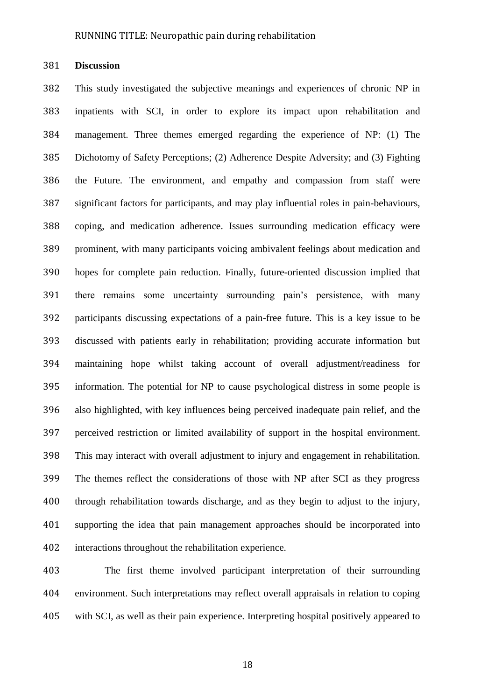**Discussion**

 This study investigated the subjective meanings and experiences of chronic NP in inpatients with SCI, in order to explore its impact upon rehabilitation and management. Three themes emerged regarding the experience of NP: (1) The Dichotomy of Safety Perceptions; (2) Adherence Despite Adversity; and (3) Fighting the Future. The environment, and empathy and compassion from staff were significant factors for participants, and may play influential roles in pain-behaviours, coping, and medication adherence. Issues surrounding medication efficacy were prominent, with many participants voicing ambivalent feelings about medication and hopes for complete pain reduction. Finally, future-oriented discussion implied that there remains some uncertainty surrounding pain's persistence, with many participants discussing expectations of a pain-free future. This is a key issue to be discussed with patients early in rehabilitation; providing accurate information but maintaining hope whilst taking account of overall adjustment/readiness for information. The potential for NP to cause psychological distress in some people is also highlighted, with key influences being perceived inadequate pain relief, and the perceived restriction or limited availability of support in the hospital environment. This may interact with overall adjustment to injury and engagement in rehabilitation. The themes reflect the considerations of those with NP after SCI as they progress through rehabilitation towards discharge, and as they begin to adjust to the injury, supporting the idea that pain management approaches should be incorporated into interactions throughout the rehabilitation experience.

 The first theme involved participant interpretation of their surrounding environment. Such interpretations may reflect overall appraisals in relation to coping with SCI, as well as their pain experience. Interpreting hospital positively appeared to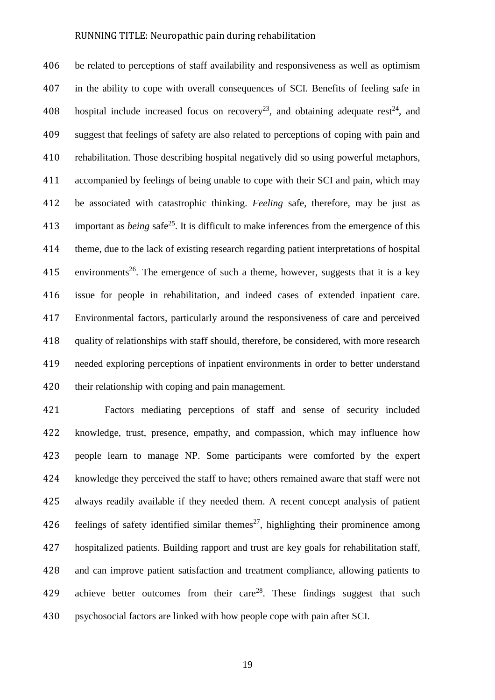be related to perceptions of staff availability and responsiveness as well as optimism in the ability to cope with overall consequences of SCI. Benefits of feeling safe in 408 hospital include increased focus on recovery<sup>23</sup>, and obtaining adequate rest<sup>24</sup>, and suggest that feelings of safety are also related to perceptions of coping with pain and rehabilitation. Those describing hospital negatively did so using powerful metaphors, accompanied by feelings of being unable to cope with their SCI and pain, which may be associated with catastrophic thinking. *Feeling* safe, therefore, may be just as 413 important as *being* safe<sup>25</sup>. It is difficult to make inferences from the emergence of this theme, due to the lack of existing research regarding patient interpretations of hospital 415 environments<sup>26</sup>. The emergence of such a theme, however, suggests that it is a key issue for people in rehabilitation, and indeed cases of extended inpatient care. Environmental factors, particularly around the responsiveness of care and perceived quality of relationships with staff should, therefore, be considered, with more research needed exploring perceptions of inpatient environments in order to better understand their relationship with coping and pain management.

 Factors mediating perceptions of staff and sense of security included knowledge, trust, presence, empathy, and compassion, which may influence how people learn to manage NP. Some participants were comforted by the expert knowledge they perceived the staff to have; others remained aware that staff were not always readily available if they needed them. A recent concept analysis of patient 426 feelings of safety identified similar themes<sup>27</sup>, highlighting their prominence among hospitalized patients. Building rapport and trust are key goals for rehabilitation staff, and can improve patient satisfaction and treatment compliance, allowing patients to 429 achieve better outcomes from their care<sup>28</sup>. These findings suggest that such psychosocial factors are linked with how people cope with pain after SCI.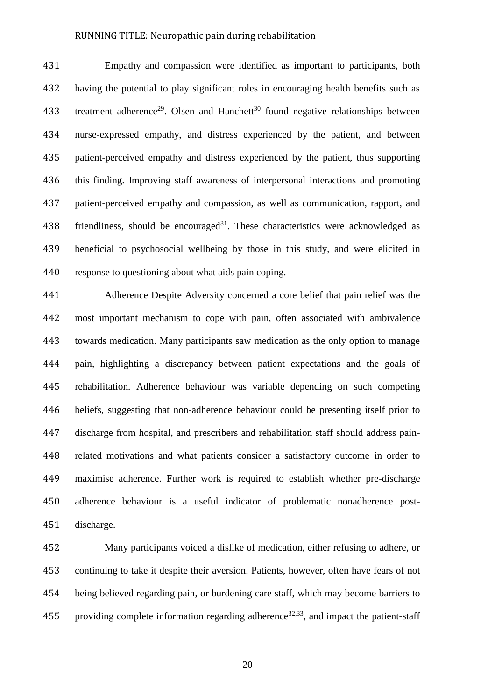Empathy and compassion were identified as important to participants, both having the potential to play significant roles in encouraging health benefits such as 433 treatment adherence<sup>29</sup>. Olsen and Hanchett<sup>30</sup> found negative relationships between nurse-expressed empathy, and distress experienced by the patient, and between patient-perceived empathy and distress experienced by the patient, thus supporting this finding. Improving staff awareness of interpersonal interactions and promoting patient-perceived empathy and compassion, as well as communication, rapport, and 438 friendliness, should be encouraged<sup>31</sup>. These characteristics were acknowledged as beneficial to psychosocial wellbeing by those in this study, and were elicited in response to questioning about what aids pain coping.

 Adherence Despite Adversity concerned a core belief that pain relief was the most important mechanism to cope with pain, often associated with ambivalence towards medication. Many participants saw medication as the only option to manage pain, highlighting a discrepancy between patient expectations and the goals of rehabilitation. Adherence behaviour was variable depending on such competing beliefs, suggesting that non-adherence behaviour could be presenting itself prior to discharge from hospital, and prescribers and rehabilitation staff should address pain- related motivations and what patients consider a satisfactory outcome in order to maximise adherence. Further work is required to establish whether pre-discharge adherence behaviour is a useful indicator of problematic nonadherence post-discharge.

 Many participants voiced a dislike of medication, either refusing to adhere, or continuing to take it despite their aversion. Patients, however, often have fears of not being believed regarding pain, or burdening care staff, which may become barriers to 455 providing complete information regarding adherence<sup>32,33</sup>, and impact the patient-staff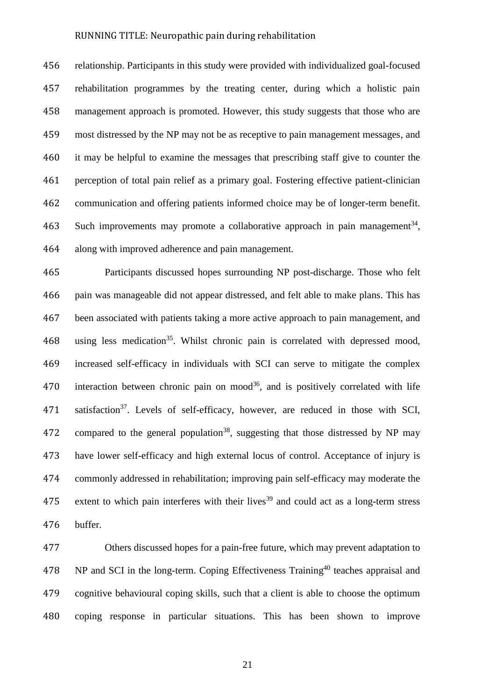relationship. Participants in this study were provided with individualized goal-focused rehabilitation programmes by the treating center, during which a holistic pain management approach is promoted. However, this study suggests that those who are most distressed by the NP may not be as receptive to pain management messages, and it may be helpful to examine the messages that prescribing staff give to counter the perception of total pain relief as a primary goal. Fostering effective patient-clinician communication and offering patients informed choice may be of longer-term benefit. 463 Such improvements may promote a collaborative approach in pain management<sup>34</sup>, along with improved adherence and pain management.

 Participants discussed hopes surrounding NP post-discharge. Those who felt pain was manageable did not appear distressed, and felt able to make plans. This has been associated with patients taking a more active approach to pain management, and 468 using less medication<sup>35</sup>. Whilst chronic pain is correlated with depressed mood, increased self-efficacy in individuals with SCI can serve to mitigate the complex 470 interaction between chronic pain on mood<sup>36</sup>, and is positively correlated with life 471 satisfaction<sup>37</sup>. Levels of self-efficacy, however, are reduced in those with SCI, 472 compared to the general population<sup>38</sup>, suggesting that those distressed by NP may have lower self-efficacy and high external locus of control. Acceptance of injury is commonly addressed in rehabilitation; improving pain self-efficacy may moderate the 475 extent to which pain interferes with their lives<sup>39</sup> and could act as a long-term stress buffer.

 Others discussed hopes for a pain-free future, which may prevent adaptation to 478 NP and SCI in the long-term. Coping Effectiveness Training<sup>40</sup> teaches appraisal and cognitive behavioural coping skills, such that a client is able to choose the optimum coping response in particular situations. This has been shown to improve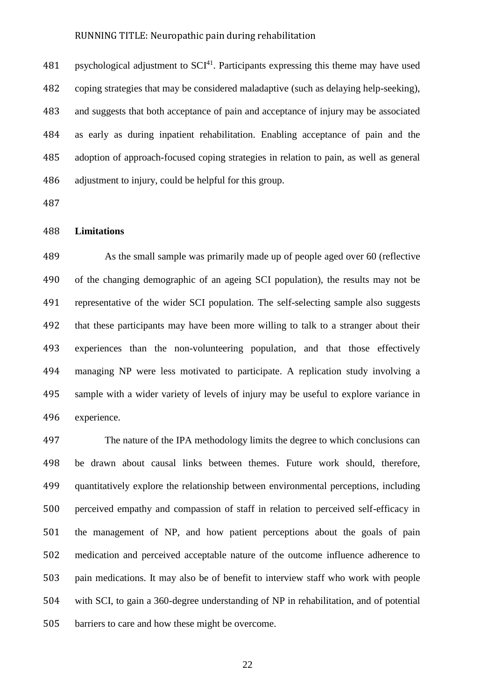481 psychological adjustment to  $SCI<sup>41</sup>$ . Participants expressing this theme may have used coping strategies that may be considered maladaptive (such as delaying help-seeking), and suggests that both acceptance of pain and acceptance of injury may be associated as early as during inpatient rehabilitation. Enabling acceptance of pain and the adoption of approach-focused coping strategies in relation to pain, as well as general adjustment to injury, could be helpful for this group.

#### **Limitations**

 As the small sample was primarily made up of people aged over 60 (reflective of the changing demographic of an ageing SCI population), the results may not be representative of the wider SCI population. The self-selecting sample also suggests that these participants may have been more willing to talk to a stranger about their experiences than the non-volunteering population, and that those effectively managing NP were less motivated to participate. A replication study involving a sample with a wider variety of levels of injury may be useful to explore variance in experience.

 The nature of the IPA methodology limits the degree to which conclusions can be drawn about causal links between themes. Future work should, therefore, quantitatively explore the relationship between environmental perceptions, including perceived empathy and compassion of staff in relation to perceived self-efficacy in the management of NP, and how patient perceptions about the goals of pain medication and perceived acceptable nature of the outcome influence adherence to pain medications. It may also be of benefit to interview staff who work with people with SCI, to gain a 360-degree understanding of NP in rehabilitation, and of potential barriers to care and how these might be overcome.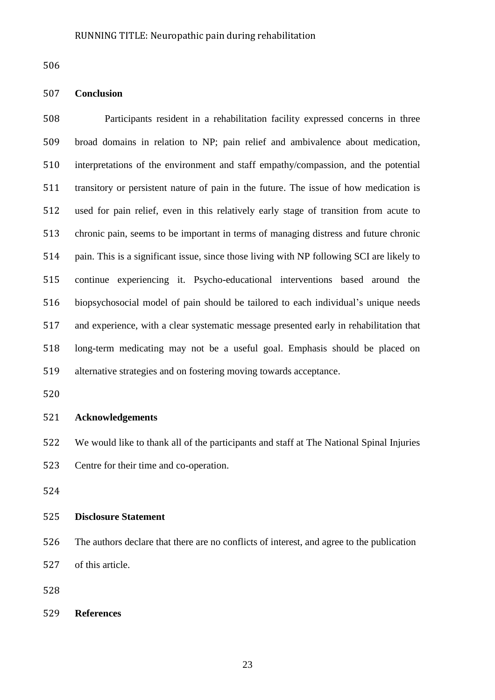# **Conclusion**

 Participants resident in a rehabilitation facility expressed concerns in three broad domains in relation to NP; pain relief and ambivalence about medication, interpretations of the environment and staff empathy/compassion, and the potential transitory or persistent nature of pain in the future. The issue of how medication is used for pain relief, even in this relatively early stage of transition from acute to chronic pain, seems to be important in terms of managing distress and future chronic pain. This is a significant issue, since those living with NP following SCI are likely to continue experiencing it. Psycho-educational interventions based around the biopsychosocial model of pain should be tailored to each individual's unique needs and experience, with a clear systematic message presented early in rehabilitation that long-term medicating may not be a useful goal. Emphasis should be placed on alternative strategies and on fostering moving towards acceptance.

# **Acknowledgements**

We would like to thank all of the participants and staff at The National Spinal Injuries

Centre for their time and co-operation.

# **Disclosure Statement**

 The authors declare that there are no conflicts of interest, and agree to the publication of this article.

**References**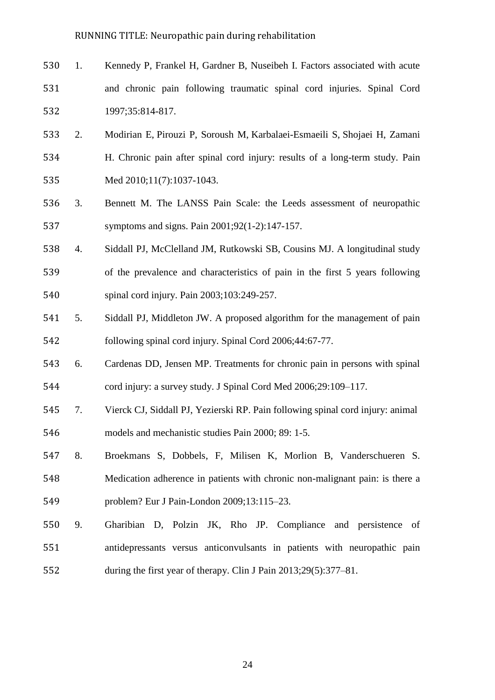- 1. Kennedy P, Frankel H, Gardner B, Nuseibeh I. Factors associated with acute and chronic pain following traumatic spinal cord injuries. Spinal Cord 1997;35:814-817.
- 2. Modirian E, Pirouzi P, Soroush M, Karbalaei-Esmaeili S, Shojaei H, Zamani H. Chronic pain after spinal cord injury: results of a long-term study. Pain Med 2010;11(7):1037-1043.
- 3. Bennett M. The LANSS Pain Scale: the Leeds assessment of neuropathic symptoms and signs. Pain 2001;92(1-2):147-157.
- 4. Siddall PJ, McClelland JM, Rutkowski SB, Cousins MJ. A longitudinal study of the prevalence and characteristics of pain in the first 5 years following spinal cord injury. Pain 2003;103:249-257.
- 5. Siddall PJ, Middleton JW. A proposed algorithm for the management of pain following spinal cord injury. Spinal Cord 2006;44:67-77.
- 6. Cardenas DD, Jensen MP. Treatments for chronic pain in persons with spinal cord injury: a survey study. J Spinal Cord Med 2006;29:109–117.
- 7. Vierck CJ, Siddall PJ, Yezierski RP. Pain following spinal cord injury: animal models and mechanistic studies Pain 2000; 89: 1-5.
- 8. Broekmans S, Dobbels, F, Milisen K, Morlion B, Vanderschueren S. Medication adherence in patients with chronic non-malignant pain: is there a problem? Eur J Pain-London 2009;13:115–23.
- 9. Gharibian D, Polzin JK, Rho JP. Compliance and persistence of antidepressants versus anticonvulsants in patients with neuropathic pain during the first year of therapy. Clin J Pain 2013;29(5):377–81.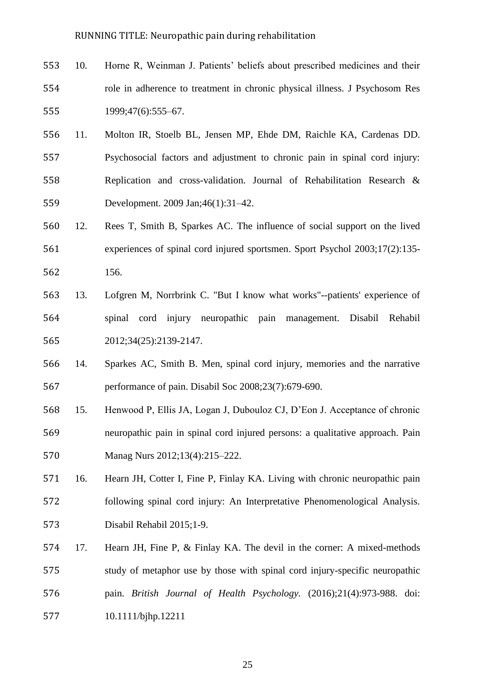- 10. Horne R, Weinman J. Patients' beliefs about prescribed medicines and their role in adherence to treatment in chronic physical illness. J Psychosom Res 1999;47(6):555–67.
- 11. Molton IR, Stoelb BL, Jensen MP, Ehde DM, Raichle KA, Cardenas DD. Psychosocial factors and adjustment to chronic pain in spinal cord injury: Replication and cross-validation. Journal of Rehabilitation Research & Development. 2009 Jan;46(1):31–42.
- 12. Rees T, Smith B, Sparkes AC. [The influence of social support on the lived](http://www.cabdirect.org/abstracts/20033103917.html)  [experiences of spinal cord injured sportsmen.](http://www.cabdirect.org/abstracts/20033103917.html) Sport Psychol 2003;17(2):135- 156.
- 13. Lofgren M, Norrbrink C. "But I know what works"--patients' experience of spinal cord injury neuropathic pain management. Disabil Rehabil 2012;34(25):2139-2147.
- 14. Sparkes AC, Smith B. Men, spinal cord injury, memories and the narrative performance of pain. Disabil Soc 2008;23(7):679-690.
- 15. Henwood P, Ellis JA, Logan J, Dubouloz CJ, D'Eon J. Acceptance of chronic neuropathic pain in spinal cord injured persons: a qualitative approach. Pain Manag Nurs 2012;13(4):215–222.
- 16. Hearn JH, Cotter I, Fine P, Finlay KA. Living with chronic neuropathic pain following spinal cord injury: An Interpretative Phenomenological Analysis. Disabil Rehabil 2015;1-9.
- 17. Hearn JH, Fine P, & Finlay KA. The devil in the corner: A mixed-methods study of metaphor use by those with spinal cord injury-specific neuropathic pain. *British Journal of Health Psychology.* (2016);21(4):973-988. doi: 10.1111/bjhp.12211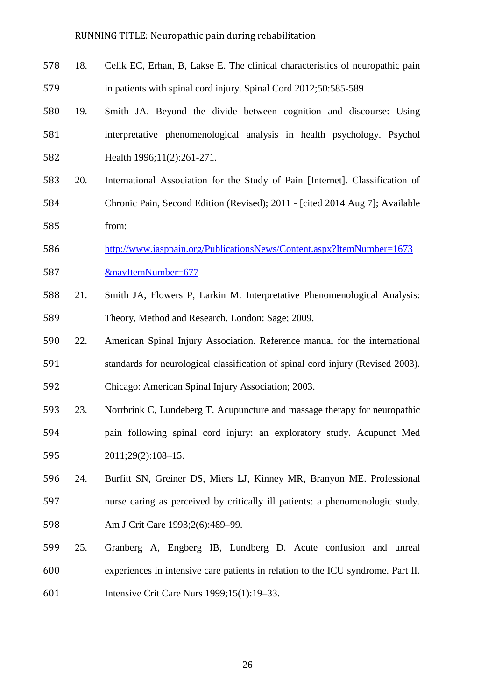- 18. Celik EC, Erhan, B, Lakse E. The clinical characteristics of neuropathic pain in patients with spinal cord injury. Spinal Cord 2012;50:585-589
- 19. Smith JA. Beyond the divide between cognition and discourse: Using interpretative phenomenological analysis in health psychology. Psychol Health 1996;11(2):261-271.
- 20. International Association for the Study of Pain [Internet]. Classification of Chronic Pain, Second Edition (Revised); 2011 - [cited 2014 Aug 7]; Available from:
- [http://www.iasppain.org/PublicationsNews/Content.aspx?ItemNumber=1673](http://www.iasp-pain.org/PublicationsNews/Content.aspx?ItemNumber=1673&navItemNumber=677) [&navItemNumber=677](http://www.iasp-pain.org/PublicationsNews/Content.aspx?ItemNumber=1673&navItemNumber=677)
- 21. Smith JA, Flowers P, Larkin M. Interpretative Phenomenological Analysis: Theory, Method and Research. London: Sage; 2009.
- 22. American Spinal Injury Association. Reference manual for the international standards for neurological classification of spinal cord injury (Revised 2003). Chicago: American Spinal Injury Association; 2003.
- 23. Norrbrink C, Lundeberg T. Acupuncture and massage therapy for neuropathic pain following spinal cord injury: an exploratory study. Acupunct Med 2011;29(2):108–15.
- 24. Burfitt SN, Greiner DS, Miers LJ, Kinney MR, Branyon ME. Professional nurse caring as perceived by critically ill patients: a phenomenologic study. Am J Crit Care 1993;2(6):489–99.
- 25. Granberg A, Engberg IB, Lundberg D. Acute confusion and unreal experiences in intensive care patients in relation to the ICU syndrome. Part II. Intensive Crit Care Nurs 1999;15(1):19–33.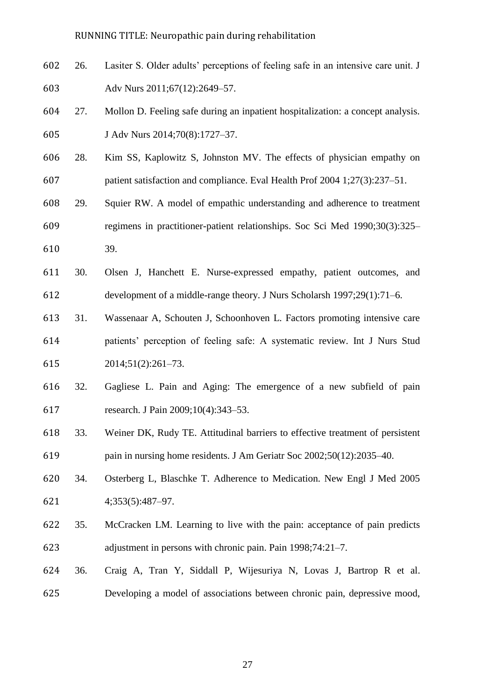- 26. Lasiter S. Older adults' perceptions of feeling safe in an intensive care unit. J Adv Nurs 2011;67(12):2649–57.
- 27. Mollon D. Feeling safe during an inpatient hospitalization: a concept analysis. J Adv Nurs 2014;70(8):1727–37.
- 28. Kim SS, Kaplowitz S, Johnston MV. The effects of physician empathy on patient satisfaction and compliance. Eval Health Prof 2004 1;27(3):237–51.
- 29. Squier RW. A model of empathic understanding and adherence to treatment regimens in practitioner-patient relationships. Soc Sci Med 1990;30(3):325–
- 39.
- 30. Olsen J, Hanchett E. Nurse-expressed empathy, patient outcomes, and development of a middle-range theory. J Nurs Scholarsh 1997;29(1):71–6.
- 31. Wassenaar A, Schouten J, Schoonhoven L. Factors promoting intensive care patients' perception of feeling safe: A systematic review. Int J Nurs Stud 2014;51(2):261–73.
- 32. Gagliese L. Pain and Aging: The emergence of a new subfield of pain research. J Pain 2009;10(4):343–53.
- 33. Weiner DK, Rudy TE. Attitudinal barriers to effective treatment of persistent pain in nursing home residents. J Am Geriatr Soc 2002;50(12):2035–40.
- 34. Osterberg L, Blaschke T. Adherence to Medication. New Engl J Med 2005 4;353(5):487–97.
- 35. McCracken LM. Learning to live with the pain: acceptance of pain predicts adjustment in persons with chronic pain. Pain 1998;74:21–7.
- 36. Craig A, Tran Y, Siddall P, Wijesuriya N, Lovas J, Bartrop R et al. Developing a model of associations between chronic pain, depressive mood,